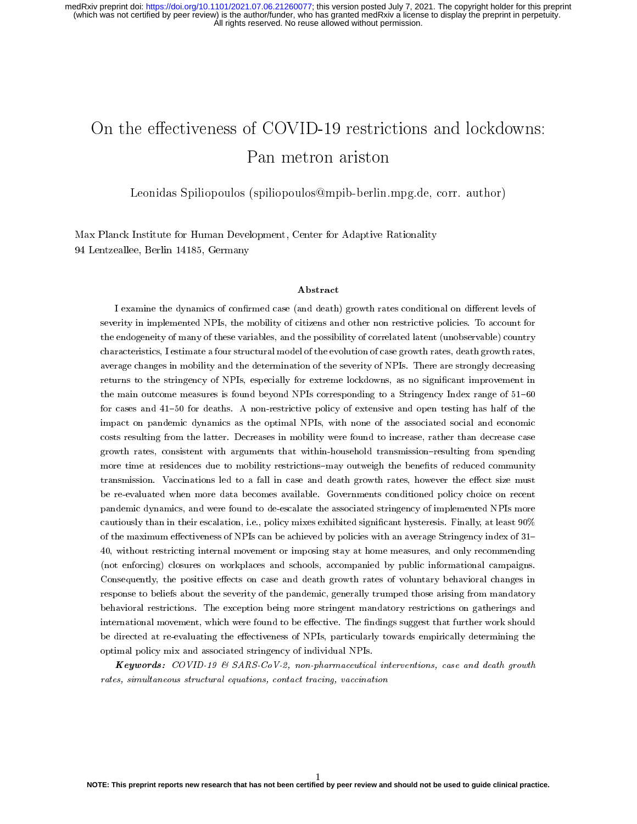# On the effectiveness of COVID-19 restrictions and lockdowns: Pan metron ariston

Leonidas Spiliopoulos (spiliopoulos@mpib-berlin.mpg.de, corr. author)

Max Planck Institute for Human Development, Center for Adaptive Rationality 94 Lentzeallee, Berlin 14185, Germany

#### Abstract

I examine the dynamics of confirmed case (and death) growth rates conditional on different levels of severity in implemented NPIs, the mobility of citizens and other non restrictive policies. To account for the endogeneity of many of these variables, and the possibility of correlated latent (unobservable) country characteristics, I estimate a four structural model of the evolution of case growth rates, death growth rates, average changes in mobility and the determination of the severity of NPIs. There are strongly decreasing returns to the stringency of NPIs, especially for extreme lockdowns, as no significant improvement in the main outcome measures is found beyond NPIs corresponding to a Stringency Index range of 51-60 for cases and 41-50 for deaths. A non-restrictive policy of extensive and open testing has half of the impact on pandemic dynamics as the optimal NPIs, with none of the associated social and economic costs resulting from the latter. Decreases in mobility were found to increase, rather than decrease case growth rates, consistent with arguments that within-household transmission-resulting from spending more time at residences due to mobility restrictions-may outweigh the benefits of reduced community transmission. Vaccinations led to a fall in case and death growth rates, however the effect size must be re-evaluated when more data becomes available. Governments conditioned policy choice on recent pandemic dynamics, and were found to de-escalate the associated stringency of implemented NPIs more cautiously than in their escalation, i.e., policy mixes exhibited signicant hysteresis. Finally, at least 90% of the maximum effectiveness of NPIs can be achieved by policies with an average Stringency index of 31-40, without restricting internal movement or imposing stay at home measures, and only recommending (not enforcing) closures on workplaces and schools, accompanied by public informational campaigns. Consequently, the positive effects on case and death growth rates of voluntary behavioral changes in response to beliefs about the severity of the pandemic, generally trumped those arising from mandatory behavioral restrictions. The exception being more stringent mandatory restrictions on gatherings and international movement, which were found to be effective. The findings suggest that further work should be directed at re-evaluating the effectiveness of NPIs, particularly towards empirically determining the optimal policy mix and associated stringency of individual NPIs.

**Keywords:** COVID-19 & SARS-CoV-2, non-pharmaceutical interventions, case and death growth rates, simultaneous structural equations, contact tracing, vaccination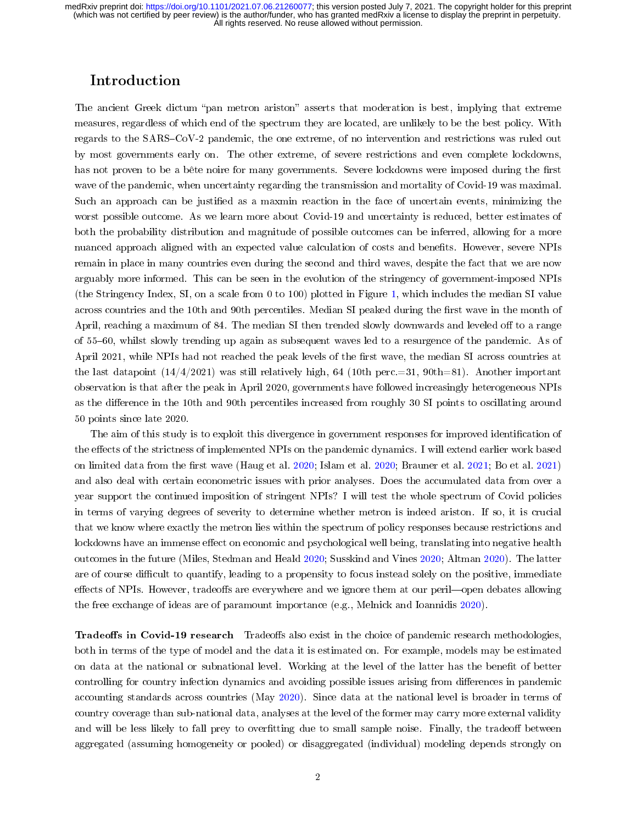### Introduction

The ancient Greek dictum "pan metron ariston" asserts that moderation is best, implying that extreme measures, regardless of which end of the spectrum they are located, are unlikely to be the best policy. With regards to the SARS–CoV-2 pandemic, the one extreme, of no intervention and restrictions was ruled out by most governments early on. The other extreme, of severe restrictions and even complete lockdowns, has not proven to be a bête noire for many governments. Severe lockdowns were imposed during the first wave of the pandemic, when uncertainty regarding the transmission and mortality of Covid-19 was maximal. Such an approach can be justified as a maxmin reaction in the face of uncertain events, minimizing the worst possible outcome. As we learn more about Covid-19 and uncertainty is reduced, better estimates of both the probability distribution and magnitude of possible outcomes can be inferred, allowing for a more nuanced approach aligned with an expected value calculation of costs and benets. However, severe NPIs remain in place in many countries even during the second and third waves, despite the fact that we are now arguably more informed. This can be seen in the evolution of the stringency of government-imposed NPIs (the Stringency Index, SI, on a scale from 0 to 100) plotted in Figure [1,](#page-2-0) which includes the median SI value across countries and the 10th and 90th percentiles. Median SI peaked during the first wave in the month of April, reaching a maximum of 84. The median SI then trended slowly downwards and leveled off to a range of 5560, whilst slowly trending up again as subsequent waves led to a resurgence of the pandemic. As of April 2021, while NPIs had not reached the peak levels of the first wave, the median SI across countries at the last datapoint  $(14/4/2021)$  was still relatively high, 64 (10th perc.=31, 90th=81). Another important observation is that after the peak in April 2020, governments have followed increasingly heterogeneous NPIs as the difference in the 10th and 90th percentiles increased from roughly 30 SI points to oscillating around 50 points since late 2020.

The aim of this study is to exploit this divergence in government responses for improved identification of the effects of the strictness of implemented NPIs on the pandemic dynamics. I will extend earlier work based on limited data from the first wave (Haug et al. [2020;](#page-15-1) Islam et al. 2020; Brauner et al. [2021;](#page-14-0) Bo et al. [2021\)](#page-14-1) and also deal with certain econometric issues with prior analyses. Does the accumulated data from over a year support the continued imposition of stringent NPIs? I will test the whole spectrum of Covid policies in terms of varying degrees of severity to determine whether metron is indeed ariston. If so, it is crucial that we know where exactly the metron lies within the spectrum of policy responses because restrictions and lockdowns have an immense effect on economic and psychological well being, translating into negative health outcomes in the future (Miles, Stedman and Heald [2020;](#page-15-2) Susskind and Vines [2020;](#page-16-0) Altman [2020\)](#page-14-2). The latter are of course difficult to quantify, leading to a propensity to focus instead solely on the positive, immediate effects of NPIs. However, tradeoffs are everywhere and we ignore them at our peril—open debates allowing the free exchange of ideas are of paramount importance (e.g., Melnick and Ioannidis [2020\)](#page-15-3).

Tradeoffs in Covid-19 research Tradeoffs also exist in the choice of pandemic research methodologies, both in terms of the type of model and the data it is estimated on. For example, models may be estimated on data at the national or subnational level. Working at the level of the latter has the benefit of better controlling for country infection dynamics and avoiding possible issues arising from differences in pandemic accounting standards across countries (May [2020\)](#page-15-4). Since data at the national level is broader in terms of country coverage than sub-national data, analyses at the level of the former may carry more external validity and will be less likely to fall prey to overfitting due to small sample noise. Finally, the tradeoff between aggregated (assuming homogeneity or pooled) or disaggregated (individual) modeling depends strongly on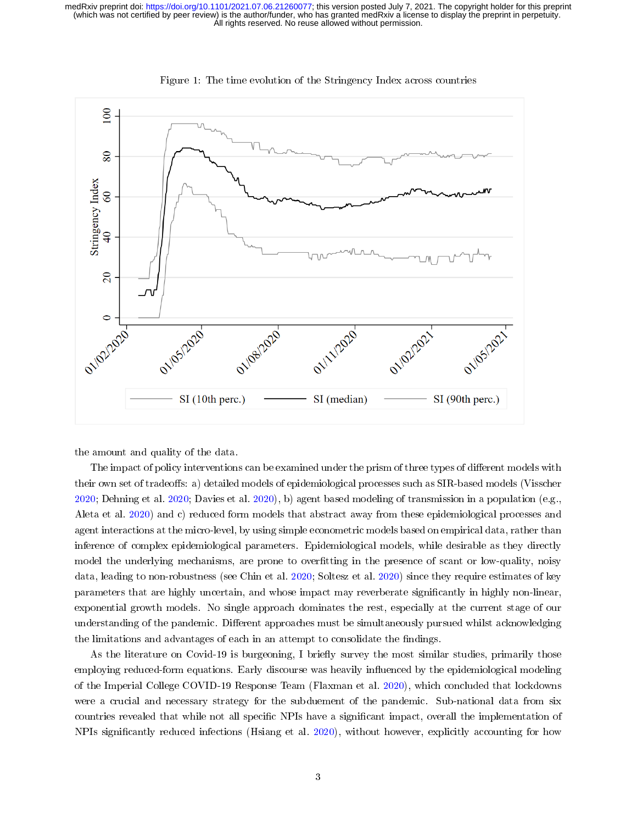<span id="page-2-0"></span>

Figure 1: The time evolution of the Stringency Index across countries

the amount and quality of the data.

The impact of policy interventions can be examined under the prism of three types of different models with their own set of tradeoffs: a) detailed models of epidemiological processes such as SIR-based models (Visscher [2020;](#page-16-1) Dehning et al. [2020;](#page-14-3) Davies et al. [2020\)](#page-14-4), b) agent based modeling of transmission in a population (e.g., Aleta et al. [2020\)](#page-14-5) and c) reduced form models that abstract away from these epidemiological processes and agent interactions at the micro-level, by using simple econometric models based on empirical data, rather than inference of complex epidemiological parameters. Epidemiological models, while desirable as they directly model the underlying mechanisms, are prone to overfitting in the presence of scant or low-quality, noisy data, leading to non-robustness (see Chin et al. [2020;](#page-14-6) Soltesz et al. [2020\)](#page-15-5) since they require estimates of key parameters that are highly uncertain, and whose impact may reverberate signicantly in highly non-linear, exponential growth models. No single approach dominates the rest, especially at the current stage of our understanding of the pandemic. Different approaches must be simultaneously pursued whilst acknowledging the limitations and advantages of each in an attempt to consolidate the findings.

As the literature on Covid-19 is burgeoning, I briefly survey the most similar studies, primarily those employing reduced-form equations. Early discourse was heavily influenced by the epidemiological modeling of the Imperial College COVID-19 Response Team (Flaxman et al. [2020\)](#page-14-7), which concluded that lockdowns were a crucial and necessary strategy for the subduement of the pandemic. Sub-national data from six countries revealed that while not all specific NPIs have a significant impact, overall the implementation of NPIs signicantly reduced infections (Hsiang et al. [2020\)](#page-15-6), without however, explicitly accounting for how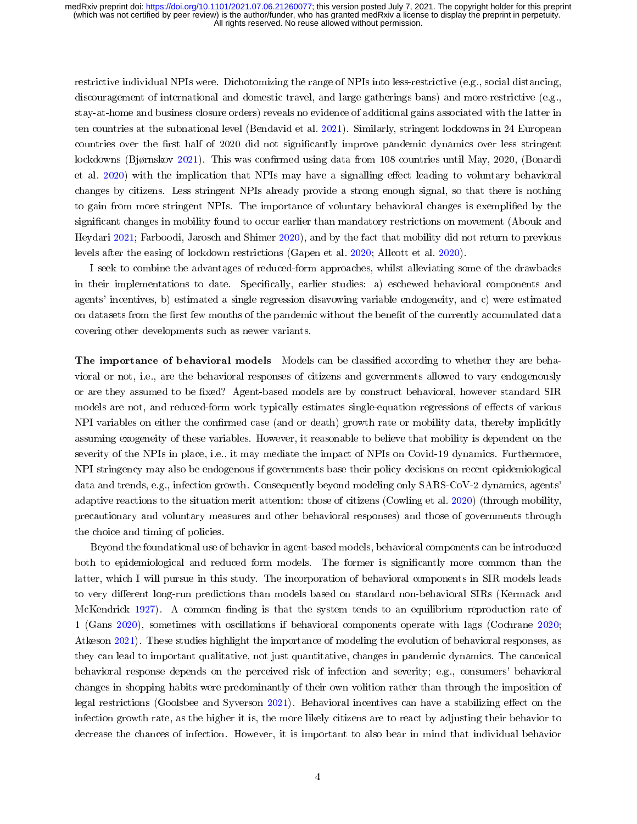restrictive individual NPIs were. Dichotomizing the range of NPIs into less-restrictive (e.g., social distancing, discouragement of international and domestic travel, and large gatherings bans) and more-restrictive (e.g., stay-at-home and business closure orders) reveals no evidence of additional gains associated with the latter in ten countries at the subnational level (Bendavid et al. [2021\)](#page-14-8). Similarly, stringent lockdowns in 24 European countries over the first half of 2020 did not significantly improve pandemic dynamics over less stringent lockdowns (Bjørnskov [2021\)](#page-14-9). This was confirmed using data from 108 countries until May, 2020, (Bonardi et al. [2020\)](#page-14-10) with the implication that NPIs may have a signalling effect leading to voluntary behavioral changes by citizens. Less stringent NPIs already provide a strong enough signal, so that there is nothing to gain from more stringent NPIs. The importance of voluntary behavioral changes is exemplified by the significant changes in mobility found to occur earlier than mandatory restrictions on movement (Abouk and Heydari [2021;](#page-14-11) Farboodi, Jarosch and Shimer [2020\)](#page-14-12), and by the fact that mobility did not return to previous levels after the easing of lockdown restrictions (Gapen et al. [2020;](#page-15-7) Allcott et al. [2020\)](#page-14-13).

I seek to combine the advantages of reduced-form approaches, whilst alleviating some of the drawbacks in their implementations to date. Specifically, earlier studies: a) eschewed behavioral components and agents' incentives, b) estimated a single regression disavowing variable endogeneity, and c) were estimated on datasets from the first few months of the pandemic without the benefit of the currently accumulated data covering other developments such as newer variants.

The importance of behavioral models Models can be classified according to whether they are behavioral or not, i.e., are the behavioral responses of citizens and governments allowed to vary endogenously or are they assumed to be fixed? Agent-based models are by construct behavioral, however standard SIR models are not, and reduced-form work typically estimates single-equation regressions of effects of various NPI variables on either the confirmed case (and or death) growth rate or mobility data, thereby implicitly assuming exogeneity of these variables. However, it reasonable to believe that mobility is dependent on the severity of the NPIs in place, i.e., it may mediate the impact of NPIs on Covid-19 dynamics. Furthermore, NPI stringency may also be endogenous if governments base their policy decisions on recent epidemiological data and trends, e.g., infection growth. Consequently beyond modeling only SARS-CoV-2 dynamics, agents' adaptive reactions to the situation merit attention: those of citizens (Cowling et al. [2020\)](#page-14-14) (through mobility, precautionary and voluntary measures and other behavioral responses) and those of governments through the choice and timing of policies.

Beyond the foundational use of behavior in agent-based models, behavioral components can be introduced both to epidemiological and reduced form models. The former is significantly more common than the latter, which I will pursue in this study. The incorporation of behavioral components in SIR models leads to very different long-run predictions than models based on standard non-behavioral SIRs (Kermack and McKendrick [1927\)](#page-15-8). A common finding is that the system tends to an equilibrium reproduction rate of 1 (Gans [2020\)](#page-15-9), sometimes with oscillations if behavioral components operate with lags (Cochrane [2020;](#page-14-15) Atkeson [2021\)](#page-14-16). These studies highlight the importance of modeling the evolution of behavioral responses, as they can lead to important qualitative, not just quantitative, changes in pandemic dynamics. The canonical behavioral response depends on the perceived risk of infection and severity; e.g., consumers' behavioral changes in shopping habits were predominantly of their own volition rather than through the imposition of legal restrictions (Goolsbee and Syverson [2021\)](#page-15-10). Behavioral incentives can have a stabilizing effect on the infection growth rate, as the higher it is, the more likely citizens are to react by adjusting their behavior to decrease the chances of infection. However, it is important to also bear in mind that individual behavior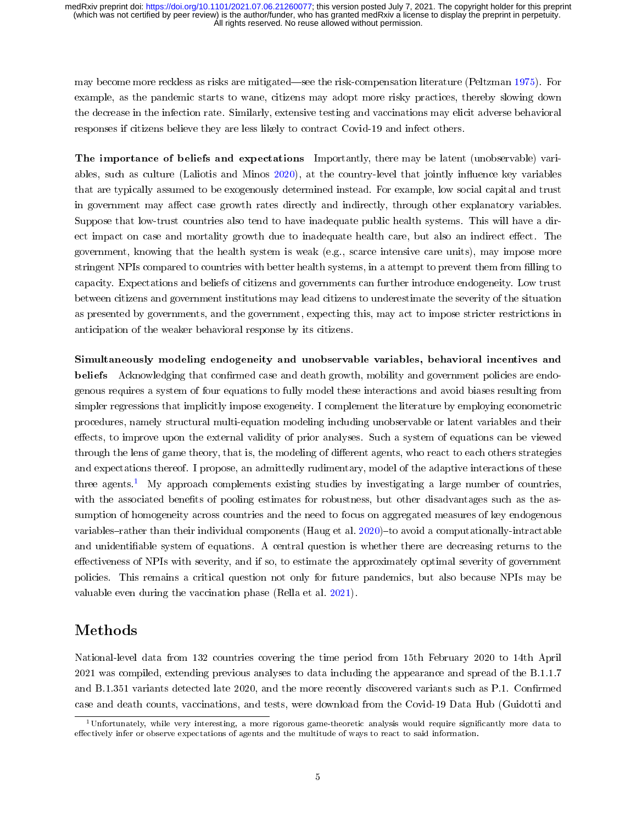may become more reckless as risks are mitigated—see the risk-compensation literature (Peltzman [1975\)](#page-15-11). For example, as the pandemic starts to wane, citizens may adopt more risky practices, thereby slowing down the decrease in the infection rate. Similarly, extensive testing and vaccinations may elicit adverse behavioral responses if citizens believe they are less likely to contract Covid-19 and infect others.

The importance of beliefs and expectations Importantly, there may be latent (unobservable) variables, such as culture (Laliotis and Minos  $2020$ ), at the country-level that jointly influence key variables that are typically assumed to be exogenously determined instead. For example, low social capital and trust in government may affect case growth rates directly and indirectly, through other explanatory variables. Suppose that low-trust countries also tend to have inadequate public health systems. This will have a direct impact on case and mortality growth due to inadequate health care, but also an indirect effect. The government, knowing that the health system is weak (e.g., scarce intensive care units), may impose more stringent NPIs compared to countries with better health systems, in a attempt to prevent them from lling to capacity. Expectations and beliefs of citizens and governments can further introduce endogeneity. Low trust between citizens and government institutions may lead citizens to underestimate the severity of the situation as presented by governments, and the government, expecting this, may act to impose stricter restrictions in anticipation of the weaker behavioral response by its citizens.

Simultaneously modeling endogeneity and unobservable variables, behavioral incentives and beliefs Acknowledging that confirmed case and death growth, mobility and government policies are endogenous requires a system of four equations to fully model these interactions and avoid biases resulting from simpler regressions that implicitly impose exogeneity. I complement the literature by employing econometric procedures, namely structural multi-equation modeling including unobservable or latent variables and their effects, to improve upon the external validity of prior analyses. Such a system of equations can be viewed through the lens of game theory, that is, the modeling of different agents, who react to each others strategies and expectations thereof. I propose, an admittedly rudimentary, model of the adaptive interactions of these three agents.<sup>[1](#page-4-0)</sup> My approach complements existing studies by investigating a large number of countries, with the associated benefits of pooling estimates for robustness, but other disadvantages such as the assumption of homogeneity across countries and the need to focus on aggregated measures of key endogenous variables-rather than their individual components (Haug et al.  $2020$ )-to avoid a computationally-intractable and unidentiable system of equations. A central question is whether there are decreasing returns to the effectiveness of NPIs with severity, and if so, to estimate the approximately optimal severity of government policies. This remains a critical question not only for future pandemics, but also because NPIs may be valuable even during the vaccination phase (Rella et al. [2021\)](#page-15-13).

### Methods

National-level data from 132 countries covering the time period from 15th February 2020 to 14th April 2021 was compiled, extending previous analyses to data including the appearance and spread of the B.1.1.7 and B.1.351 variants detected late 2020, and the more recently discovered variants such as P.1. Confirmed case and death counts, vaccinations, and tests, were download from the Covid-19 Data Hub (Guidotti and

<span id="page-4-0"></span> $1$ Unfortunately, while very interesting, a more rigorous game-theoretic analysis would require significantly more data to effectively infer or observe expectations of agents and the multitude of ways to react to said information.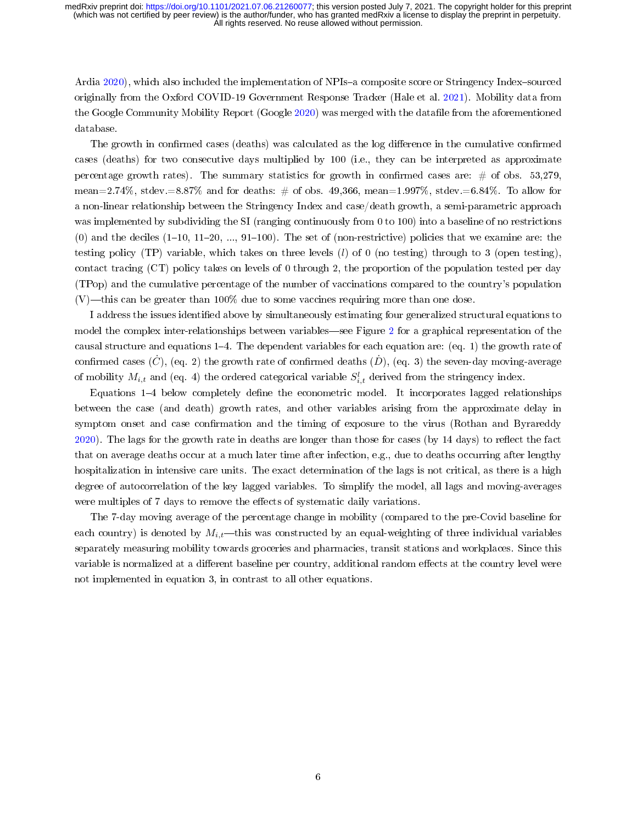Ardia [2020\)](#page-15-14), which also included the implementation of NPIs-a composite score or Stringency Index-sourced originally from the Oxford COVID-19 Government Response Tracker (Hale et al. [2021\)](#page-15-15). Mobility data from the Google Community Mobility Report (Google [2020\)](#page-15-16) was merged with the datafile from the aforementioned database.

The growth in confirmed cases (deaths) was calculated as the log difference in the cumulative confirmed cases (deaths) for two consecutive days multiplied by 100 (i.e., they can be interpreted as approximate percentage growth rates). The summary statistics for growth in confirmed cases are:  $\#$  of obs. 53,279. mean=2.74%, stdev.=8.87% and for deaths:  $\#$  of obs. 49,366, mean=1.997%, stdev.=6.84%. To allow for a non-linear relationship between the Stringency Index and case/death growth, a semi-parametric approach was implemented by subdividing the SI (ranging continuously from 0 to 100) into a baseline of no restrictions (0) and the deciles  $(1-10, 11-20, \ldots, 91-100)$ . The set of (non-restrictive) policies that we examine are: the testing policy (TP) variable, which takes on three levels  $(l)$  of 0 (no testing) through to 3 (open testing), contact tracing (CT) policy takes on levels of 0 through 2, the proportion of the population tested per day (TPop) and the cumulative percentage of the number of vaccinations compared to the country's population  $(V)$ —this can be greater than 100% due to some vaccines requiring more than one dose.

I address the issues identied above by simultaneously estimating four generalized structural equations to model the complex inter-relationships between variables—see Figure [2](#page-6-0) for a graphical representation of the causal structure and equations  $1-4$ . The dependent variables for each equation are: (eq. 1) the growth rate of confirmed cases  $(\dot{C})$ , (eq. 2) the growth rate of confirmed deaths  $(\dot{D})$ , (eq. 3) the seven-day moving-average of mobility  $M_{i,t}$  and (eq. 4) the ordered categorical variable  $S_{i,t}^l$  derived from the stringency index.

Equations 1–4 below completely define the econometric model. It incorporates lagged relationships between the case (and death) growth rates, and other variables arising from the approximate delay in symptom onset and case confirmation and the timing of exposure to the virus (Rothan and Byrareddy [2020\)](#page-15-17). The lags for the growth rate in deaths are longer than those for cases (by 14 days) to reflect the fact that on average deaths occur at a much later time after infection, e.g., due to deaths occurring after lengthy hospitalization in intensive care units. The exact determination of the lags is not critical, as there is a high degree of autocorrelation of the key lagged variables. To simplify the model, all lags and moving-averages were multiples of 7 days to remove the effects of systematic daily variations.

The 7-day moving average of the percentage change in mobility (compared to the pre-Covid baseline for each country) is denoted by  $M_{i,t}$ —this was constructed by an equal-weighting of three individual variables separately measuring mobility towards groceries and pharmacies, transit stations and workplaces. Since this variable is normalized at a different baseline per country, additional random effects at the country level were not implemented in equation 3, in contrast to all other equations.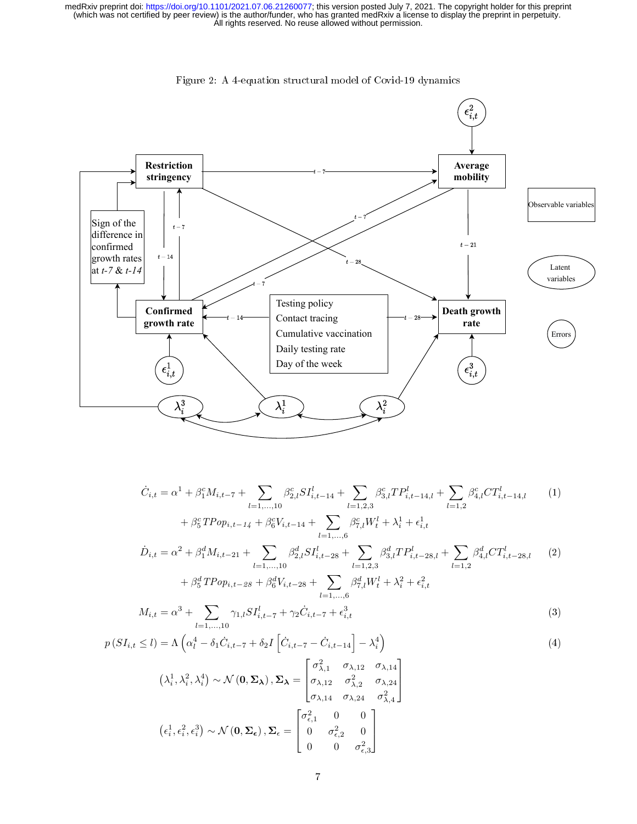<span id="page-6-0"></span>

Figure 2: A 4-equation structural model of Covid-19 dynamics

$$
\dot{C}_{i,t} = \alpha^{1} + \beta_{1}^{c} M_{i,t-7} + \sum_{l=1,...,10} \beta_{2,l}^{c} S I_{i,t-14}^{l} + \sum_{l=1,2,3} \beta_{3,l}^{c} T P_{i,t-14,l}^{l} + \sum_{l=1,2} \beta_{4,l}^{c} C T_{i,t-14,l}^{l} \qquad (1)
$$
\n
$$
+ \beta_{5}^{c} T P o p_{i,t-14} + \beta_{6}^{c} V_{i,t-14} + \sum_{l=1,...,6} \beta_{7,l}^{c} W_{t}^{l} + \lambda_{i}^{1} + \epsilon_{i,t}^{1}
$$
\n
$$
\dot{D}_{i,t} = \alpha^{2} + \beta_{1}^{d} M_{i,t-21} + \sum_{l=1,...,10} \beta_{2,l}^{d} S I_{i,t-28}^{l} + \sum_{l=1,2,3} \beta_{3,l}^{d} T P_{i,t-28,l}^{l} + \sum_{l=1,2} \beta_{4,l}^{d} C T_{i,t-28,l}^{l} \qquad (2)
$$
\n
$$
+ \beta_{5}^{d} T P o p_{i,t-28} + \beta_{6}^{d} V_{i,t-28} + \sum_{l=1,...,6} \beta_{7,l}^{d} W_{t}^{l} + \lambda_{i}^{2} + \epsilon_{i,t}^{2}
$$
\n
$$
M_{i,t} = \alpha^{3} + \sum_{l=1,3,5} \gamma_{i} S I_{i}^{l} + \gamma_{6} \dot{C}_{i,t-1} + \epsilon^{3}
$$
\n(3)

$$
M_{i,t} = \alpha^3 + \sum_{l=1,\dots,10} \gamma_{1,l} S I_{i,t-7}^l + \gamma_2 \dot{C}_{i,t-7} + \epsilon_{i,t}^3
$$
 (3)

$$
p(SI_{i,t} \le l) = \Lambda \left(\alpha_l^4 - \delta_1 \dot{C}_{i,t-7} + \delta_2 I \left[\dot{C}_{i,t-7} - \dot{C}_{i,t-14}\right] - \lambda_i^4\right)
$$
\n
$$
\sigma_{\lambda,1}^2 \quad \sigma_{\lambda,12} \quad \sigma_{\lambda,14}
$$
\n
$$
(4)
$$

$$
(\lambda_i^1, \lambda_i^2, \lambda_i^4) \sim \mathcal{N}(\mathbf{0}, \mathbf{\Sigma}_{\boldsymbol{\lambda}}), \mathbf{\Sigma}_{\boldsymbol{\lambda}} = \begin{bmatrix} \sigma_{\lambda,1} & \sigma_{\lambda,12} & \sigma_{\lambda,14} \\ \sigma_{\lambda,12} & \sigma_{\lambda,2}^2 & \sigma_{\lambda,24} \\ \sigma_{\lambda,14} & \sigma_{\lambda,24} & \sigma_{\lambda,4}^2 \end{bmatrix}
$$

$$
(\epsilon_i^1, \epsilon_i^2, \epsilon_i^3) \sim \mathcal{N}(\mathbf{0}, \mathbf{\Sigma}_{\epsilon}), \mathbf{\Sigma}_{\epsilon} = \begin{bmatrix} \sigma_{\epsilon,1}^2 & 0 & 0 \\ 0 & \sigma_{\epsilon,2}^2 & 0 \\ 0 & 0 & \sigma_{\epsilon,3}^2 \end{bmatrix}
$$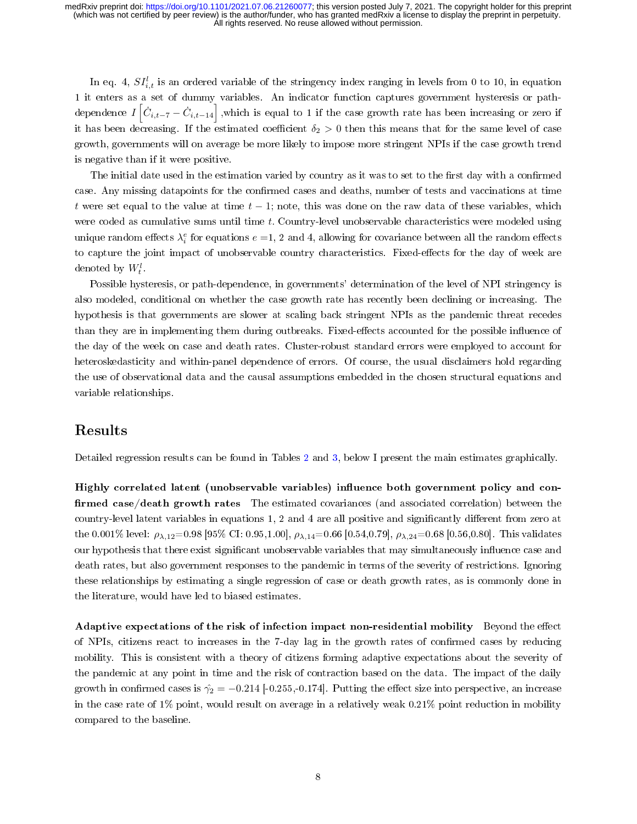In eq. 4,  $SI_{i,t}^{l}$  is an ordered variable of the stringency index ranging in levels from 0 to 10, in equation 1 it enters as a set of dummy variables. An indicator function captures government hysteresis or pathdependence  $I\left[\dot{C}_{i,t-7}-\dot{C}_{i,t-14}\right],$  which is equal to 1 if the case growth rate has been increasing or zero if it has been decreasing. If the estimated coefficient  $\delta_2 > 0$  then this means that for the same level of case growth, governments will on average be more likely to impose more stringent NPIs if the case growth trend is negative than if it were positive.

The initial date used in the estimation varied by country as it was to set to the first day with a confirmed case. Any missing datapoints for the confirmed cases and deaths, number of tests and vaccinations at time t were set equal to the value at time  $t - 1$ ; note, this was done on the raw data of these variables, which were coded as cumulative sums until time t. Country-level unobservable characteristics were modeled using unique random effects  $\lambda_i^e$  for equations  $e = 1, 2$  and 4, allowing for covariance between all the random effects to capture the joint impact of unobservable country characteristics. Fixed-effects for the day of week are denoted by  $W_t^l$ .

Possible hysteresis, or path-dependence, in governments' determination of the level of NPI stringency is also modeled, conditional on whether the case growth rate has recently been declining or increasing. The hypothesis is that governments are slower at scaling back stringent NPIs as the pandemic threat recedes than they are in implementing them during outbreaks. Fixed-effects accounted for the possible influence of the day of the week on case and death rates. Cluster-robust standard errors were employed to account for heteroskedasticity and within-panel dependence of errors. Of course, the usual disclaimers hold regarding the use of observational data and the causal assumptions embedded in the chosen structural equations and variable relationships.

### Results

Detailed regression results can be found in Tables [2](#page-17-0) and [3,](#page-18-0) below I present the main estimates graphically.

Highly correlated latent (unobservable variables) influence both government policy and confirmed case/death growth rates The estimated covariances (and associated correlation) between the country-level latent variables in equations  $1, 2$  and  $4$  are all positive and significantly different from zero at the 0.001% level:  $\rho_{\lambda,12}=0.98$  [95% CI: 0.95,1.00],  $\rho_{\lambda,14}=0.66$  [0.54,0.79],  $\rho_{\lambda,24}=0.68$  [0.56,0.80]. This validates our hypothesis that there exist significant unobservable variables that may simultaneously influence case and death rates, but also government responses to the pandemic in terms of the severity of restrictions. Ignoring these relationships by estimating a single regression of case or death growth rates, as is commonly done in the literature, would have led to biased estimates.

Adaptive expectations of the risk of infection impact non-residential mobility Beyond the effect of NPIs, citizens react to increases in the 7-day lag in the growth rates of confirmed cases by reducing mobility. This is consistent with a theory of citizens forming adaptive expectations about the severity of the pandemic at any point in time and the risk of contraction based on the data. The impact of the daily growth in confirmed cases is  $\hat{\gamma}_2 = -0.214$  [-0.255,-0.174]. Putting the effect size into perspective, an increase in the case rate of 1% point, would result on average in a relatively weak 0.21% point reduction in mobility compared to the baseline.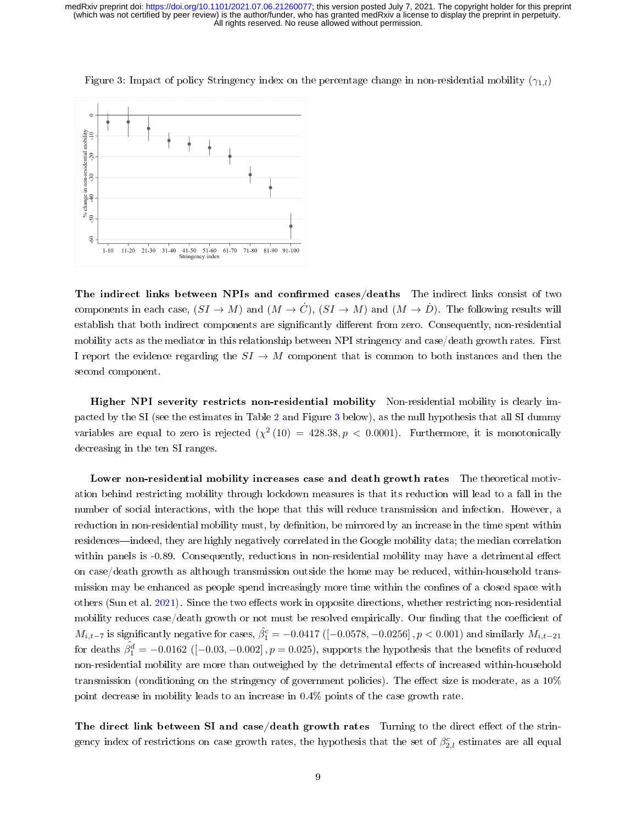

<span id="page-8-0"></span>Figure 3: Impact of policy Stringency index on the percentage change in non-residential mobility  $(\gamma_{1,l})$ 

The indirect links between NPIs and confirmed cases/deaths The indirect links consist of two components in each case,  $(SI \to M)$  and  $(M \to \dot{C})$ ,  $(SI \to M)$  and  $(M \to \dot{D})$ . The following results will establish that both indirect components are significantly different from zero. Consequently, non-residential mobility acts as the mediator in this relationship between NPI stringency and case/death growth rates. First I report the evidence regarding the  $SI \rightarrow M$  component that is common to both instances and then the second component.

Higher NPI severity restricts non-residential mobility Non-residential mobility is clearly impacted by the SI (see the estimates in Table [2](#page-17-0) and Figure [3](#page-8-0) below), as the null hypothesis that all SI dummy variables are equal to zero is rejected  $(\chi^2(10) = 428.38, p < 0.0001)$ . Furthermore, it is monotonically decreasing in the ten SI ranges.

Lower non-residential mobility increases case and death growth rates The theoretical motivation behind restricting mobility through lockdown measures is that its reduction will lead to a fall in the number of social interactions, with the hope that this will reduce transmission and infection. However, a reduction in non-residential mobility must, by definition, be mirrored by an increase in the time spent within residences—indeed, they are highly negatively correlated in the Google mobility data; the median correlation within panels is  $-0.89$ . Consequently, reductions in non-residential mobility may have a detrimental effect on case/death growth as although transmission outside the home may be reduced, within-household transmission may be enhanced as people spend increasingly more time within the confines of a closed space with others (Sun et al. [2021\)](#page-15-18). Since the two effects work in opposite directions, whether restricting non-residential mobility reduces case/death growth or not must be resolved empirically. Our finding that the coefficient of  $M_{i,t-7}$  is significantly negative for cases,  $\hat{\beta_1^c} = -0.0417$  ([-0.0578, -0.0256] ,  $p < 0.001$ ) and similarly  $M_{i,t-21}$ for deaths  $\hat{\beta_1^d} = -0.0162$  ([–0.03, –0.002],  $p = 0.025$ ), supports the hypothesis that the benefits of reduced non-residential mobility are more than outweighed by the detrimental effects of increased within-household transmission (conditioning on the stringency of government policies). The effect size is moderate, as a  $10\%$ point decrease in mobility leads to an increase in 0.4% points of the case growth rate.

The direct link between SI and case/death growth rates Turning to the direct effect of the stringency index of restrictions on case growth rates, the hypothesis that the set of  $\beta_{2,l}^c$  estimates are all equal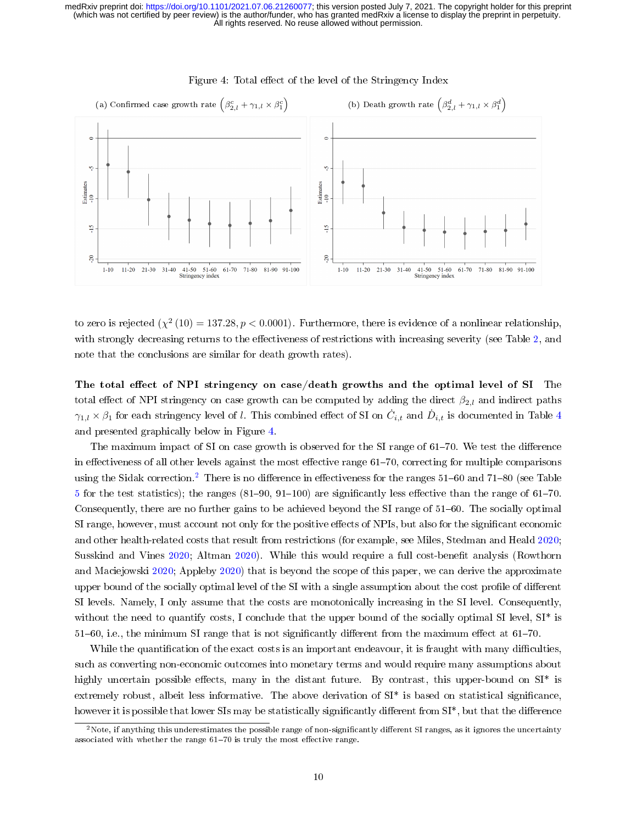<span id="page-9-0"></span>

#### Figure 4: Total effect of the level of the Stringency Index

to zero is rejected  $(\chi^2(10) = 137.28, p < 0.0001)$ . Furthermore, there is evidence of a nonlinear relationship, with strongly decreasing returns to the effectiveness of restrictions with increasing severity (see Table [2,](#page-17-0) and note that the conclusions are similar for death growth rates).

The total effect of NPI stringency on case/death growths and the optimal level of SI The total effect of NPI stringency on case growth can be computed by adding the direct  $\beta_{2,l}$  and indirect paths  $\gamma_{1,l}\times\beta_1$  for each stringency level of  $l.$  This combined effect of SI on  $\dot{C}_{i,t}$  and  $\dot{D}_{i,t}$  is documented in Table  $4$ and presented graphically below in Figure [4.](#page-9-0)

The maximum impact of SI on case growth is observed for the SI range of 61–70. We test the difference in effectiveness of all other levels against the most effective range 61-70, correcting for multiple comparisons using the Sidak correction.<sup>[2](#page-9-1)</sup> There is no difference in effectiveness for the ranges  $51-60$  and  $71-80$  (see Table [5](#page-19-0) for the test statistics); the ranges  $(81-90, 91-100)$  are significantly less effective than the range of  $61-70$ . Consequently, there are no further gains to be achieved beyond the SI range of 51–60. The socially optimal SI range, however, must account not only for the positive effects of NPIs, but also for the significant economic and other health-related costs that result from restrictions (for example, see Miles, Stedman and Heald [2020;](#page-15-2) Susskind and Vines [2020;](#page-16-0) Altman [2020\)](#page-14-2). While this would require a full cost-benefit analysis (Rowthorn and Maciejowski [2020;](#page-15-19) Appleby [2020\)](#page-14-17) that is beyond the scope of this paper, we can derive the approximate upper bound of the socially optimal level of the SI with a single assumption about the cost profile of different SI levels. Namely, I only assume that the costs are monotonically increasing in the SI level. Consequently, without the need to quantify costs, I conclude that the upper bound of the socially optimal SI level,  $SI^*$  is  $51-60$ , i.e., the minimum SI range that is not significantly different from the maximum effect at  $61-70$ .

While the quantification of the exact costs is an important endeavour, it is fraught with many difficulties. such as converting non-economic outcomes into monetary terms and would require many assumptions about highly uncertain possible effects, many in the distant future. By contrast, this upper-bound on  $SI^*$  is extremely robust, albeit less informative. The above derivation of SI\* is based on statistical signicance, however it is possible that lower SIs may be statistically significantly different from SI<sup>\*</sup>, but that the difference

<span id="page-9-1"></span> $2$ Note, if anything this underestimates the possible range of non-significantly different SI ranges, as it ignores the uncertainty associated with whether the range  $61-70$  is truly the most effective range.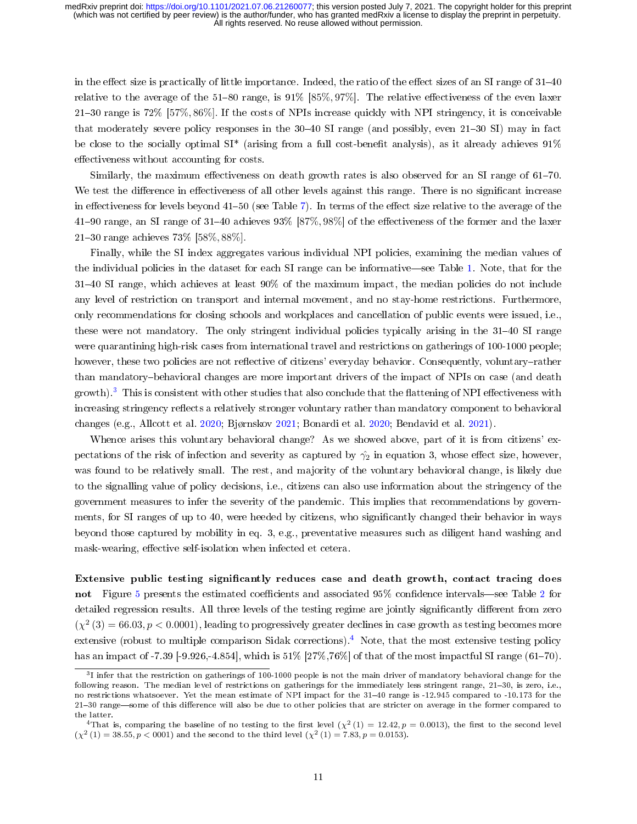in the effect size is practically of little importance. Indeed, the ratio of the effect sizes of an SI range of  $31-40$ relative to the average of the 51-80 range, is  $91\%$  [85%, 97%]. The relative effectiveness of the even laxer 2130 range is 72% [57%, 86%]. If the costs of NPIs increase quickly with NPI stringency, it is conceivable that moderately severe policy responses in the  $30-40$  SI range (and possibly, even  $21-30$  SI) may in fact be close to the socially optimal  $SI^*$  (arising from a full cost-benefit analysis), as it already achieves  $91\%$ effectiveness without accounting for costs.

Similarly, the maximum effectiveness on death growth rates is also observed for an SI range of  $61-70$ . We test the difference in effectiveness of all other levels against this range. There is no significant increase in effectiveness for levels beyond  $41-50$  (see Table [7\)](#page-19-1). In terms of the effect size relative to the average of the 41–90 range, an SI range of 31–40 achieves 93% [87%, 98%] of the effectiveness of the former and the laxer 2130 range achieves 73% [58%, 88%].

Finally, while the SI index aggregates various individual NPI policies, examining the median values of the individual policies in the dataset for each SI range can be informative—see Table [1.](#page-13-0) Note, that for the 3140 SI range, which achieves at least 90% of the maximum impact, the median policies do not include any level of restriction on transport and internal movement, and no stay-home restrictions. Furthermore, only recommendations for closing schools and workplaces and cancellation of public events were issued, i.e., these were not mandatory. The only stringent individual policies typically arising in the 31–40 SI range were quarantining high-risk cases from international travel and restrictions on gatherings of 100-1000 people; however, these two policies are not reflective of citizens' everyday behavior. Consequently, voluntary-rather than mandatory-behavioral changes are more important drivers of the impact of NPIs on case (and death  $(growth)$ .<sup>[3](#page-10-0)</sup> This is consistent with other studies that also conclude that the flattening of NPI effectiveness with increasing stringency reflects a relatively stronger voluntary rather than mandatory component to behavioral changes (e.g., Allcott et al. [2020;](#page-14-13) Bjørnskov [2021;](#page-14-9) Bonardi et al. [2020;](#page-14-10) Bendavid et al. [2021\)](#page-14-8).

Whence arises this voluntary behavioral change? As we showed above, part of it is from citizens' expectations of the risk of infection and severity as captured by  $\hat{\gamma}_2$  in equation 3, whose effect size, however, was found to be relatively small. The rest, and majority of the voluntary behavioral change, is likely due to the signalling value of policy decisions, i.e., citizens can also use information about the stringency of the government measures to infer the severity of the pandemic. This implies that recommendations by governments, for SI ranges of up to 40, were heeded by citizens, who signicantly changed their behavior in ways beyond those captured by mobility in eq. 3, e.g., preventative measures such as diligent hand washing and mask-wearing, effective self-isolation when infected et cetera.

Extensive public testing significantly reduces case and death growth, contact tracing does not Figure [5](#page-11-0) presents the estimated coefficients and associated 95% confidence intervals—see Table [2](#page-17-0) for detailed regression results. All three levels of the testing regime are jointly significantly different from zero  $(\chi^2(3) = 66.03, p < 0.0001)$ , leading to progressively greater declines in case growth as testing becomes more extensive (robust to multiple comparison Sidak corrections).[4](#page-10-1) Note, that the most extensive testing policy has an impact of -7.39 [-9.926,-4.854], which is  $51\%$  [27%,76%] of that of the most impactful SI range (61-70).

<span id="page-10-0"></span> $31$  infer that the restriction on gatherings of 100-1000 people is not the main driver of mandatory behavioral change for the following reason. The median level of restrictions on gatherings for the immediately less stringent range, 21-30, is zero, i.e., no restrictions whatsoever. Yet the mean estimate of NPI impact for the 31-40 range is -12.945 compared to -10.173 for the 21-30 range—some of this difference will also be due to other policies that are stricter on average in the former compared to the latter.

<span id="page-10-1"></span><sup>&</sup>lt;sup>4</sup>That is, comparing the baseline of no testing to the first level  $(\chi^2(1) = 12.42, p = 0.0013)$ , the first to the second level  $(\chi^2(1) = 38.55, p < 0001)$  and the second to the third level  $(\chi^2(1) = 7.83, p = 0.0153)$ .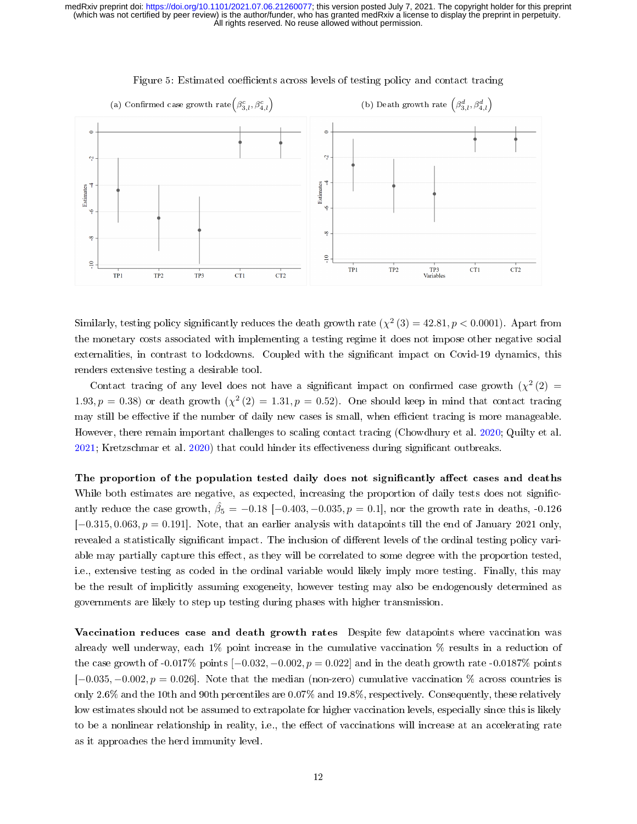<span id="page-11-0"></span>

#### Figure 5: Estimated coefficients across levels of testing policy and contact tracing

Similarly, testing policy significantly reduces the death growth rate  $(\chi^2(3) = 42.81, p < 0.0001)$ . Apart from the monetary costs associated with implementing a testing regime it does not impose other negative social externalities, in contrast to lockdowns. Coupled with the significant impact on Covid-19 dynamics, this renders extensive testing a desirable tool.

Contact tracing of any level does not have a significant impact on confirmed case growth  $(\chi^2(2)$ 1.93,  $p = 0.38$ ) or death growth  $\left(\chi^2(2) = 1.31, p = 0.52\right)$ . One should keep in mind that contact tracing may still be effective if the number of daily new cases is small, when efficient tracing is more manageable. However, there remain important challenges to scaling contact tracing (Chowdhury et al. [2020;](#page-14-18) Quilty et al.  $2021$ ; Kretzschmar et al.  $2020$ ) that could hinder its effectiveness during significant outbreaks.

The proportion of the population tested daily does not significantly affect cases and deaths While both estimates are negative, as expected, increasing the proportion of daily tests does not signicantly reduce the case growth,  $\hat{\beta}_5 = -0.18$  [-0.403, -0.035,  $p = 0.1$ ], nor the growth rate in deaths, -0.126  $[-0.315, 0.063, p = 0.191]$ . Note, that an earlier analysis with datapoints till the end of January 2021 only, revealed a statistically significant impact. The inclusion of different levels of the ordinal testing policy variable may partially capture this effect, as they will be correlated to some degree with the proportion tested. i.e., extensive testing as coded in the ordinal variable would likely imply more testing. Finally, this may be the result of implicitly assuming exogeneity, however testing may also be endogenously determined as governments are likely to step up testing during phases with higher transmission.

Vaccination reduces case and death growth rates Despite few datapoints where vaccination was already well underway, each 1% point increase in the cumulative vaccination % results in a reduction of the case growth of -0.017% points  $[-0.032, -0.002, p = 0.022]$  and in the death growth rate -0.0187% points  $[-0.035, -0.002, p = 0.026]$ . Note that the median (non-zero) cumulative vaccination % across countries is only 2.6% and the 10th and 90th percentiles are 0.07% and 19.8%, respectively. Consequently, these relatively low estimates should not be assumed to extrapolate for higher vaccination levels, especially since this is likely to be a nonlinear relationship in reality, i.e., the effect of vaccinations will increase at an accelerating rate as it approaches the herd immunity level.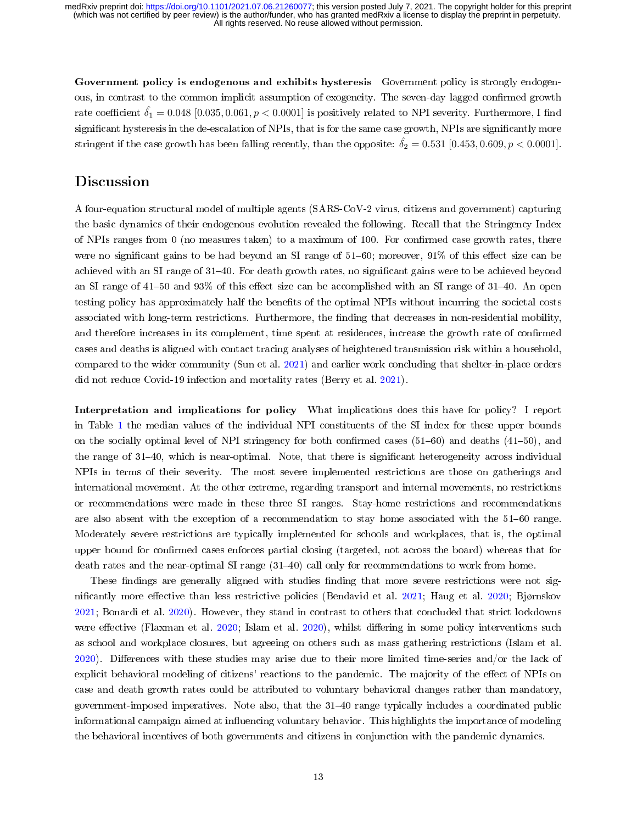Government policy is endogenous and exhibits hysteresis. Government policy is strongly endogenous, in contrast to the common implicit assumption of exogeneity. The seven-day lagged confirmed growth rate coefficient  $\delta_1 = 0.048$  [0.035, 0.061,  $p < 0.0001$ ] is positively related to NPI severity. Furthermore, I find significant hysteresis in the de-escalation of NPIs, that is for the same case growth, NPIs are significantly more stringent if the case growth has been falling recently, than the opposite:  $\hat{\delta}_2 = 0.531$  [0.453, 0.609,  $p < 0.0001$ ].

### Discussion

A four-equation structural model of multiple agents (SARS-CoV-2 virus, citizens and government) capturing the basic dynamics of their endogenous evolution revealed the following. Recall that the Stringency Index of NPIs ranges from 0 (no measures taken) to a maximum of 100. For confirmed case growth rates, there were no significant gains to be had beyond an SI range of  $51-60$ ; moreover,  $91\%$  of this effect size can be achieved with an SI range of 31–40. For death growth rates, no significant gains were to be achieved beyond an SI range of  $41-50$  and  $93\%$  of this effect size can be accomplished with an SI range of  $31-40$ . An open testing policy has approximately half the benets of the optimal NPIs without incurring the societal costs associated with long-term restrictions. Furthermore, the finding that decreases in non-residential mobility, and therefore increases in its complement, time spent at residences, increase the growth rate of confirmed cases and deaths is aligned with contact tracing analyses of heightened transmission risk within a household, compared to the wider community (Sun et al. [2021\)](#page-15-18) and earlier work concluding that shelter-in-place orders did not reduce Covid-19 infection and mortality rates (Berry et al. [2021\)](#page-14-19).

Interpretation and implications for policy What implications does this have for policy? I report in Table [1](#page-13-0) the median values of the individual NPI constituents of the SI index for these upper bounds on the socially optimal level of NPI stringency for both confirmed cases  $(51–60)$  and deaths  $(41–50)$ , and the range of 31–40, which is near-optimal. Note, that there is significant heterogeneity across individual NPIs in terms of their severity. The most severe implemented restrictions are those on gatherings and international movement. At the other extreme, regarding transport and internal movements, no restrictions or recommendations were made in these three SI ranges. Stay-home restrictions and recommendations are also absent with the exception of a recommendation to stay home associated with the  $51-60$  range. Moderately severe restrictions are typically implemented for schools and workplaces, that is, the optimal upper bound for confirmed cases enforces partial closing (targeted, not across the board) whereas that for death rates and the near-optimal SI range  $(31-40)$  call only for recommendations to work from home.

These findings are generally aligned with studies finding that more severe restrictions were not sig-nificantly more effective than less restrictive policies (Bendavid et al. [2021;](#page-14-8) Haug et al. [2020;](#page-15-0) Bjørnskov [2021;](#page-14-9) Bonardi et al. [2020\)](#page-14-10). However, they stand in contrast to others that concluded that strict lockdowns were effective (Flaxman et al. [2020;](#page-14-7) Islam et al. [2020\)](#page-15-1), whilst differing in some policy interventions such as school and workplace closures, but agreeing on others such as mass gathering restrictions (Islam et al. [2020\)](#page-15-1). Differences with these studies may arise due to their more limited time-series and/or the lack of explicit behavioral modeling of citizens' reactions to the pandemic. The majority of the effect of NPIs on case and death growth rates could be attributed to voluntary behavioral changes rather than mandatory, government-imposed imperatives. Note also, that the 31–40 range typically includes a coordinated public informational campaign aimed at influencing voluntary behavior. This highlights the importance of modeling the behavioral incentives of both governments and citizens in conjunction with the pandemic dynamics.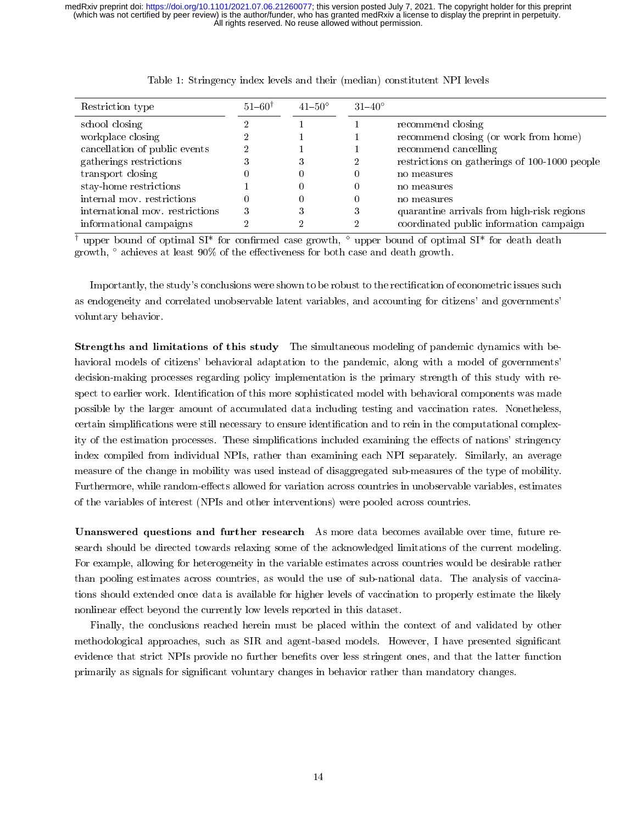<span id="page-13-0"></span>

| Restriction type                | $51 - 60^{\dagger}$ | $41 - 50^{\circ}$ | $31 - 40^{\circ}$ |                                               |
|---------------------------------|---------------------|-------------------|-------------------|-----------------------------------------------|
| school closing                  |                     |                   |                   | recommend closing                             |
| workplace closing               |                     |                   |                   | recommend closing (or work from home)         |
| cancellation of public events   |                     |                   |                   | recommend cancelling                          |
| gatherings restrictions         |                     | ð                 |                   | restrictions on gatherings of 100-1000 people |
| transport closing               |                     | U                 |                   | no measures                                   |
| stay-home restrictions          |                     |                   |                   | no measures                                   |
| internal mov. restrictions      |                     |                   |                   | no measures                                   |
| international mov. restrictions |                     |                   | 3                 | quarantine arrivals from high-risk regions    |
| informational campaigns         |                     |                   |                   | coordinated public information campaign       |

| Table 1: Stringency index levels and their (median) constitutent NPI levels |  |  |  |
|-----------------------------------------------------------------------------|--|--|--|
|                                                                             |  |  |  |

<sup>†</sup> upper bound of optimal SI<sup>\*</sup> for confirmed case growth,  $\degree$  upper bound of optimal SI<sup>\*</sup> for death death growth,  $\degree$  achieves at least 90% of the effectiveness for both case and death growth.

Importantly, the study's conclusions were shown to be robust to the rectification of econometric issues such as endogeneity and correlated unobservable latent variables, and accounting for citizens' and governments' voluntary behavior.

Strengths and limitations of this study The simultaneous modeling of pandemic dynamics with behavioral models of citizens' behavioral adaptation to the pandemic, along with a model of governments' decision-making processes regarding policy implementation is the primary strength of this study with respect to earlier work. Identification of this more sophisticated model with behavioral components was made possible by the larger amount of accumulated data including testing and vaccination rates. Nonetheless, certain simplifications were still necessary to ensure identification and to rein in the computational complexity of the estimation processes. These simplifications included examining the effects of nations' stringency index compiled from individual NPIs, rather than examining each NPI separately. Similarly, an average measure of the change in mobility was used instead of disaggregated sub-measures of the type of mobility. Furthermore, while random-effects allowed for variation across countries in unobservable variables, estimates of the variables of interest (NPIs and other interventions) were pooled across countries.

Unanswered questions and further research As more data becomes available over time, future research should be directed towards relaxing some of the acknowledged limitations of the current modeling. For example, allowing for heterogeneity in the variable estimates across countries would be desirable rather than pooling estimates across countries, as would the use of sub-national data. The analysis of vaccinations should extended once data is available for higher levels of vaccination to properly estimate the likely nonlinear effect beyond the currently low levels reported in this dataset.

Finally, the conclusions reached herein must be placed within the context of and validated by other methodological approaches, such as SIR and agent-based models. However, I have presented signicant evidence that strict NPIs provide no further benefits over less stringent ones, and that the latter function primarily as signals for signicant voluntary changes in behavior rather than mandatory changes.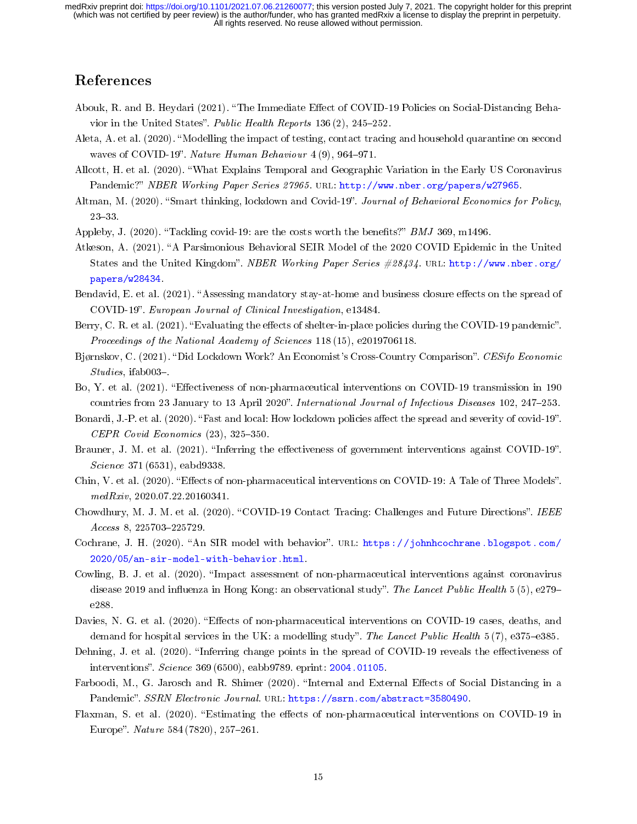### References

- <span id="page-14-11"></span>Abouk, R. and B. Heydari (2021). "The Immediate Effect of COVID-19 Policies on Social-Distancing Behavior in the United States". Public Health Reports 136 (2),  $245-252$ .
- <span id="page-14-5"></span>Aleta, A. et al. (2020). Modelling the impact of testing, contact tracing and household quarantine on second waves of COVID-19". Nature Human Behaviour  $4(9)$ , 964-971.
- <span id="page-14-13"></span>Allcott, H. et al. (2020). What Explains Temporal and Geographic Variation in the Early US Coronavirus Pandemic?" NBER Working Paper Series 27965. URL: [http://www.nber.org/papers/w27965.](http://www.nber.org/papers/w27965)
- <span id="page-14-2"></span>Altman, M. (2020). "Smart thinking, lockdown and Covid-19". Journal of Behavioral Economics for Policy,  $23 - 33$ .
- <span id="page-14-17"></span>Appleby, J. (2020). "Tackling covid-19: are the costs worth the benefits?"  $BMJ$  369, m1496.
- <span id="page-14-16"></span>Atkeson, A. (2021). "A Parsimonious Behavioral SEIR Model of the 2020 COVID Epidemic in the United States and the United Kingdom". NBER Working Paper Series #28434. URL: [http://www.nber.org/](http://www.nber.org/papers/w28434) [papers/w28434.](http://www.nber.org/papers/w28434)
- <span id="page-14-8"></span>Bendavid, E. et al. (2021). "Assessing mandatory stay-at-home and business closure effects on the spread of COVID-19. European Journal of Clinical Investigation, e13484.
- <span id="page-14-19"></span>Berry, C. R. et al. (2021). "Evaluating the effects of shelter-in-place policies during the COVID-19 pandemic". Proceedings of the National Academy of Sciences 118 (15), e2019706118.
- <span id="page-14-9"></span>Bjørnskov, C. (2021). "Did Lockdown Work? An Economist's Cross-Country Comparison". CESifo Economic  $Studies, ifab003-.$
- <span id="page-14-1"></span>Bo, Y. et al. (2021). "Effectiveness of non-pharmaceutical interventions on COVID-19 transmission in 190 countries from 23 January to 13 April 2020". International Journal of Infectious Diseases 102, 247-253.
- <span id="page-14-10"></span>Bonardi, J.-P. et al. (2020). "Fast and local: How lockdown policies affect the spread and severity of covid-19".  $CEPR$  Covid Economics (23), 325-350.
- <span id="page-14-0"></span>Brauner, J. M. et al. (2021). "Inferring the effectiveness of government interventions against COVID-19". Science 371 (6531), eabd9338.
- <span id="page-14-6"></span>Chin, V. et al. (2020). "Effects of non-pharmaceutical interventions on COVID-19: A Tale of Three Models". medRxiv, 2020.07.22.20160341.
- <span id="page-14-18"></span>Chowdhury, M. J. M. et al. (2020). "COVID-19 Contact Tracing: Challenges and Future Directions". IEEE  $Access 8, 225703 - 225729.$
- <span id="page-14-15"></span>Cochrane, J. H. (2020). "An SIR model with behavior". URL: [https://johnhcochrane.blogspot.com/](https://johnhcochrane.blogspot.com/2020/05/an-sir-model-with-behavior.html) [2020/05/an-sir-model-with-behavior.html.](https://johnhcochrane.blogspot.com/2020/05/an-sir-model-with-behavior.html)
- <span id="page-14-14"></span>Cowling, B. J. et al. (2020). "Impact assessment of non-pharmaceutical interventions against coronavirus disease 2019 and influenza in Hong Kong: an observational study". The Lancet Public Health 5 (5), e279– e288.
- <span id="page-14-4"></span>Davies, N. G. et al. (2020). "Effects of non-pharmaceutical interventions on COVID-19 cases, deaths, and demand for hospital services in the UK: a modelling study". The Lancet Public Health  $5(7)$ , e375–e385.
- <span id="page-14-3"></span>Dehning, J. et al. (2020). "Inferring change points in the spread of COVID-19 reveals the effectiveness of interventions". Science 369 (6500), eabb9789. eprint: [2004.01105.](2004.01105)
- <span id="page-14-12"></span>Farboodi, M., G. Jarosch and R. Shimer (2020). "Internal and External Effects of Social Distancing in a Pandemic". SSRN Electronic Journal. URL: [https://ssrn.com/abstract=3580490.](https://ssrn.com/abstract=3580490)
- <span id="page-14-7"></span>Flaxman, S. et al. (2020). "Estimating the effects of non-pharmaceutical interventions on COVID-19 in Europe". Nature 584 (7820), 257-261.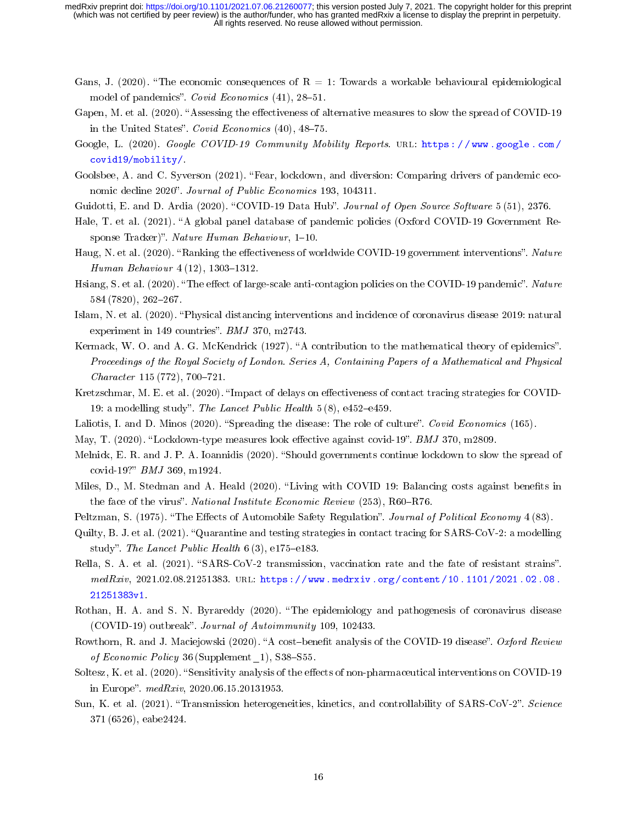- <span id="page-15-9"></span>Gans, J. (2020). "The economic consequences of  $R = 1$ : Towards a workable behavioural epidemiological model of pandemics". Covid Economics  $(41)$ , 28-51.
- <span id="page-15-7"></span>Gapen, M. et al. (2020). "Assessing the effectiveness of alternative measures to slow the spread of COVID-19 in the United States". Covid Economics  $(40)$ ,  $48-75$ .
- <span id="page-15-16"></span>Google, L. (2020). Google COVID-19 Community Mobility Reports. URL: https://www.google.com/ [covid19/mobility/.](https://www.google.com/covid19/mobility/)
- <span id="page-15-10"></span>Goolsbee, A. and C. Syverson (2021). "Fear, lockdown, and diversion: Comparing drivers of pandemic economic decline 2020". Journal of Public Economics 193, 104311.
- <span id="page-15-14"></span>Guidotti, E. and D. Ardia (2020). "COVID-19 Data Hub". Journal of Open Source Software 5 (51), 2376.
- <span id="page-15-15"></span>Hale, T. et al. (2021). "A global panel database of pandemic policies (Oxford COVID-19 Government Response Tracker)". Nature Human Behaviour,  $1-10$ .
- <span id="page-15-0"></span>Haug, N. et al. (2020). "Ranking the effectiveness of worldwide COVID-19 government interventions". Nature Human Behaviour  $4(12)$ , 1303-1312.
- <span id="page-15-6"></span>Hsiang, S. et al. (2020). "The effect of large-scale anti-contagion policies on the COVID-19 pandemic". Nature 584 (7820), 262-267.
- <span id="page-15-1"></span>Islam, N. et al. (2020). Physical distancing interventions and incidence of coronavirus disease 2019: natural experiment in 149 countries".  $BMJ$  370, m2743.
- <span id="page-15-8"></span>Kermack, W. O. and A. G. McKendrick (1927). "A contribution to the mathematical theory of epidemics". Proceedings of the Royal Society of London. Series A, Containing Papers of a Mathematical and Physical  $Character 115 (772), 700-721.$
- <span id="page-15-21"></span>Kretzschmar, M. E. et al. (2020). "Impact of delays on effectiveness of contact tracing strategies for COVID-19: a modelling study". The Lancet Public Health  $5(8)$ , e452-e459.
- <span id="page-15-12"></span>Laliotis, I. and D. Minos (2020). "Spreading the disease: The role of culture". Covid Economics (165).
- <span id="page-15-4"></span>May, T. (2020). "Lockdown-type measures look effective against covid-19". BMJ 370, m2809.
- <span id="page-15-3"></span>Melnick, E. R. and J. P. A. Ioannidis (2020). "Should governments continue lockdown to slow the spread of covid-19?"  $BMJ$  369, m1924.
- <span id="page-15-2"></span>Miles, D., M. Stedman and A. Heald (2020). "Living with COVID 19: Balancing costs against benefits in the face of the virus". National Institute Economic Review  $(253)$ , R60-R76.
- <span id="page-15-11"></span>Peltzman, S. (1975). "The Effects of Automobile Safety Regulation". Journal of Political Economy 4 (83).
- <span id="page-15-20"></span>Quilty, B. J. et al. (2021). "Quarantine and testing strategies in contact tracing for SARS-CoV-2: a modelling study". The Lancet Public Health  $6(3)$ , e175-e183.
- <span id="page-15-13"></span>Rella, S. A. et al. (2021). "SARS-CoV-2 transmission, vaccination rate and the fate of resistant strains".  $medRxiv, 2021.02.08.21251383. \text{ URL: `https://www.medrxiv.org/content/10.1101/2021.02.08`.$ [21251383v1.](https://www.medrxiv.org/content/10.1101/2021.02.08.21251383v1)
- <span id="page-15-17"></span>Rothan, H. A. and S. N. Byrareddy (2020). The epidemiology and pathogenesis of coronavirus disease (COVID-19) outbreak". Journal of Autoimmunity 109, 102433.
- <span id="page-15-19"></span>Rowthorn, R. and J. Maciejowski (2020). "A cost-benefit analysis of the COVID-19 disease". Oxford Review of Economic Policy 36 (Supplement  $1$ ), S38-S55.
- <span id="page-15-5"></span>Soltesz, K. et al. (2020). "Sensitivity analysis of the effects of non-pharmaceutical interventions on COVID-19 in Europe".  $medRxiv$ , 2020.06.15.20131953.
- <span id="page-15-18"></span>Sun, K. et al. (2021). "Transmission heterogeneities, kinetics, and controllability of SARS-CoV-2". Science 371 (6526), eabe2424.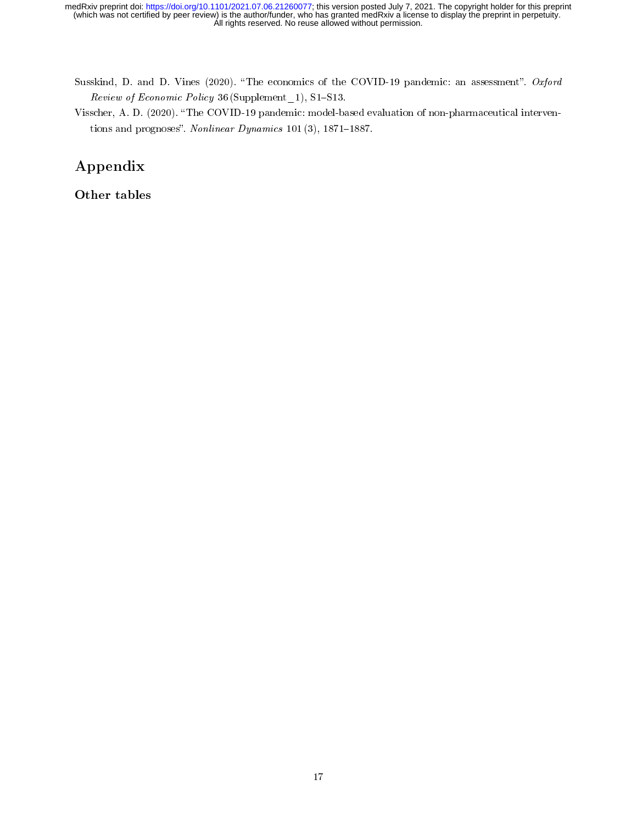- <span id="page-16-0"></span>Susskind, D. and D. Vines (2020). "The economics of the COVID-19 pandemic: an assessment". Oxford  $Review\ of\ Economic\ Policy\ 36(Supplement_1), S1-S13.$
- <span id="page-16-1"></span>Visscher, A. D. (2020). "The COVID-19 pandemic: model-based evaluation of non-pharmaceutical interventions and prognoses". Nonlinear Dynamics 101 (3), 1871-1887.

## Appendix

Other tables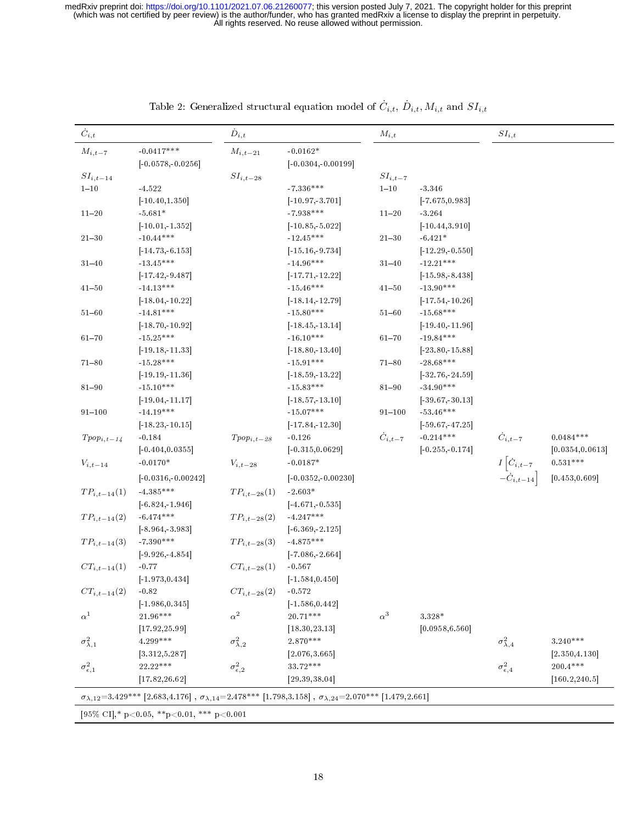<span id="page-17-0"></span>

| $\dot{C}_{i,t}$         |                                                                                                                                                | $\dot{D}_{i,t}$         |                       | $M_{i,t}$         |                    | $\mathcal{S}I_{i,t}$                                 |                  |
|-------------------------|------------------------------------------------------------------------------------------------------------------------------------------------|-------------------------|-----------------------|-------------------|--------------------|------------------------------------------------------|------------------|
| $M_{i,t-7}$             | $-0.0417***$                                                                                                                                   | $M_{i,t-21}$            | $-0.0162*$            |                   |                    |                                                      |                  |
|                         | $[-0.0578,-0.0256]$                                                                                                                            |                         | $[-0.0304, -0.00199]$ |                   |                    |                                                      |                  |
| $SI_{i,t-14}$           |                                                                                                                                                | $\mathcal{S}I_{i,t-28}$ |                       | $SI_{i,t-7}$      |                    |                                                      |                  |
| $1 - 10$                | -4.522                                                                                                                                         |                         | $-7.336***$           | $1 - 10$          | 3.346              |                                                      |                  |
|                         | $[-10.40, 1.350]$                                                                                                                              |                         | $[-10.97, 3.701]$     |                   | $[-7.675, 0.983]$  |                                                      |                  |
| $11 - 20$               | $-5.681*$                                                                                                                                      |                         | $-7.938***$           | $11 - 20$         | $-3.264$           |                                                      |                  |
|                         | $[-10.01, 1.352]$                                                                                                                              |                         | $[-10.85, -5.022]$    |                   | $[-10.44, 3.910]$  |                                                      |                  |
| $21 - 30$               | $-10.44***$                                                                                                                                    |                         | $-12.45***$           | $21 - 30$         | $-6.421*$          |                                                      |                  |
|                         | $[-14.73, 6.153]$                                                                                                                              |                         | $[-15.16, -9.734]$    |                   | $[-12.29, 0.550]$  |                                                      |                  |
| $31 - 40$               | $13.45***$                                                                                                                                     |                         | $-14.96***$           | $31 - 40$         | $-12.21***$        |                                                      |                  |
|                         | $[-17.42, 9.487]$                                                                                                                              |                         | $[-17.71, 12.22]$     |                   | $[-15.98, 8.438]$  |                                                      |                  |
| $41 - 50$               | $-14.13***$                                                                                                                                    |                         | $-15.46***$           | $41 - 50$         | $-13.90***$        |                                                      |                  |
|                         | $[-18.04, 10.22]$                                                                                                                              |                         | $[-18.14, 12.79]$     |                   | $[-17.54, 10.26]$  |                                                      |                  |
| $51 - 60$               | $-14.81***$                                                                                                                                    |                         | $-15.80***$           | $51 - 60$         | $15.68***$         |                                                      |                  |
|                         | $[-18.70, 10.92]$                                                                                                                              |                         | $[-18.45, -13.14]$    |                   | $[-19.40, 11.96]$  |                                                      |                  |
| $61 - 70$               | $15.25***$                                                                                                                                     |                         | $-16.10***$           | $61 - 70$         | $-19.84***$        |                                                      |                  |
|                         | $[-19.18, 11.33]$                                                                                                                              |                         | $[-18.80, 13.40]$     |                   | $[-23.80, -15.88]$ |                                                      |                  |
| $71 - 80$               | $15.28***$                                                                                                                                     |                         | $-15.91***$           | $71 - 80$         | $-28.68***$        |                                                      |                  |
|                         | $[-19.19, 11.36]$                                                                                                                              |                         | $[-18.59, -13.22]$    |                   | $[-32.76, -24.59]$ |                                                      |                  |
| $81 - 90$               | $15.10***$                                                                                                                                     |                         | $-15.83***$           | $81 - 90$         | $-34.90***$        |                                                      |                  |
|                         | $[-19.04, 11.17]$                                                                                                                              |                         | $[-18.57, -13.10]$    |                   | $[-39.67, -30.13]$ |                                                      |                  |
| $91 - 100$              | $-14.19***$                                                                                                                                    |                         | $-15.07***$           | $91 - 100$        | $-53.46***$        |                                                      |                  |
|                         | $[-18.23, 10.15]$                                                                                                                              |                         | $[-17.84, 12.30]$     |                   | $[-59.67, -47.25]$ |                                                      |                  |
| $Tpop_{i,t-14}$         | $-0.184$                                                                                                                                       | $Tpop_{i,t-28}$         | $-0.126$              | $\dot{C}_{i,t-7}$ | $-0.214***$        |                                                      | $0.0484***$      |
|                         | $[-0.404, 0.0355]$                                                                                                                             |                         | $[-0.315, 0.0629]$    |                   | $[-0.255, 0.174]$  |                                                      | [0.0354, 0.0613] |
| $V_{i,t-14}$            | $-0.0170\,^*$                                                                                                                                  | $V_{i,t-28}$            | $-0.0187*$            |                   |                    | $\dot{C}_{i,t-7}$<br>$I\left[\dot{C}_{i,t-7}\right]$ | $0.531***$       |
|                         | $[-0.0316,-0.00242]$                                                                                                                           |                         | $[-0.0352, -0.00230]$ |                   |                    | $-\dot{C}_{i,t-14}\right]$                           | [0.453, 0.609]   |
|                         |                                                                                                                                                |                         |                       |                   |                    |                                                      |                  |
| $TP_{i,t-14}(1)$        | $-4.385***$                                                                                                                                    | $TP_{i,t-28}(1)$        | $-2.603*$             |                   |                    |                                                      |                  |
|                         | $[-6.824, 1.946]$                                                                                                                              |                         | $[-4.671, -0.535]$    |                   |                    |                                                      |                  |
| $TP_{i,t-14}(2)$        | $-6.474***$                                                                                                                                    | $TP_{i,t-28}(2)$        | $-4.247***$           |                   |                    |                                                      |                  |
|                         | $[-8.964, -3.983]$                                                                                                                             |                         | $[-6.369, -2.125]$    |                   |                    |                                                      |                  |
| $TP_{i,t-14}(3)$        | $-7.390***$                                                                                                                                    | $TP_{i,t-28}(3)$        | $-4.875***$           |                   |                    |                                                      |                  |
|                         | $[-9.926, -4.854]$                                                                                                                             |                         | $[-7.086, -2.664]$    |                   |                    |                                                      |                  |
| $CT_{i,t-14}(1)$        | $-0.77$                                                                                                                                        | $CT_{i,t-28}(1)$        | $-0.567$              |                   |                    |                                                      |                  |
|                         | $[-1.973, 0.434]$                                                                                                                              |                         | $[-1.584, 0.450]$     |                   |                    |                                                      |                  |
| $CT_{i,t-14}(2)$        | $-0.82$                                                                                                                                        | $CT_{i,t-28}(2)$        | $-0.572$              |                   |                    |                                                      |                  |
|                         | $[-1.986, 0.345]$                                                                                                                              |                         | $[-1.586, 0.442]$     |                   |                    |                                                      |                  |
| $\alpha^1$              | $21.96***$                                                                                                                                     | $\alpha^2$              | $20.71***$            | $\alpha^3$        | $3.328\,^*$        |                                                      |                  |
|                         | [17.92, 25.99]                                                                                                                                 |                         | [18.30, 23.13]        |                   | [0.0958, 6.560]    |                                                      |                  |
| $\sigma^2_{\lambda,1}$  | $4.299***$                                                                                                                                     | $\sigma^2_{\lambda,2}$  | $2.870***$            |                   |                    | $\sigma^2_{\lambda,4}$                               | $3.240***$       |
|                         | [3.312, 5.287]                                                                                                                                 |                         | [2.076, 3.665]        |                   |                    |                                                      | [2.350, 4.130]   |
| $\sigma^2_{\epsilon,1}$ | 22.22***                                                                                                                                       | $\sigma^2_{\epsilon,2}$ | 33.72***              |                   |                    | $\sigma_{\epsilon,4}^2$                              | $200.4***$       |
|                         | [17.82, 26.62]                                                                                                                                 |                         | [29.39, 38.04]        |                   |                    |                                                      | [160.2, 240.5]   |
|                         | $\sigma_{\lambda,12} = 3.429***$ [2.683,4.176], $\sigma_{\lambda,14} = 2.478***$ [1.798,3.158], $\sigma_{\lambda,24} = 2.070***$ [1.479,2.661] |                         |                       |                   |                    |                                                      |                  |
|                         | [95\% CI],* p<0.05, **p<0.01, *** p<0.001                                                                                                      |                         |                       |                   |                    |                                                      |                  |

| Table 2: Generalized structural equation model of $C_{i,t}$ , $D_{i,t}$ , $M_{i,t}$ and $SI_{i,t}$ |  |  |  |  |  |
|----------------------------------------------------------------------------------------------------|--|--|--|--|--|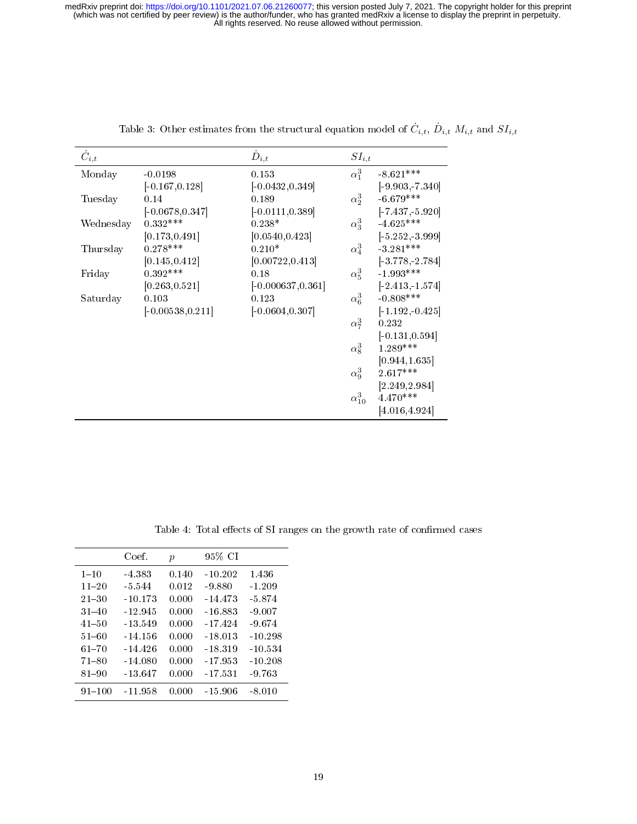<span id="page-18-0"></span>

| $\dot{C}_{i,t}$ |                     | $\dot{D}_{i,t}$      | $SI_{i,t}$      |                   |
|-----------------|---------------------|----------------------|-----------------|-------------------|
| Monday          | $-0.0198$           | 0.153                | $\alpha_1^3$    | $-8.621***$       |
|                 | $[-0.167, 0.128]$   | $[-0.0432, 0.349]$   |                 | $[-9.903, 7.340]$ |
| Tuesday         | 0.14                | 0.189                | $\alpha_2^3$    | $-6.679***$       |
|                 | $[-0.0678, 0.347]$  | $[-0.0111, 0.389]$   |                 | $[-7.437, 5.920]$ |
| Wednesday       | $0.332***$          | $0.238*$             | $\alpha_3^3$    | $-4.625***$       |
|                 | [0.173, 0.491]      | [0.0540, 0.423]      |                 | $[-5.252, 3.999]$ |
| Thursday        | $0.278***$          | $0.210*$             | $\alpha_4^3$    | $-3.281***$       |
|                 | [0.145, 0.412]      | [0.00722, 0.413]     |                 | $[-3.778, 2.784]$ |
| Friday          | $0.392***$          | 0.18                 | $\alpha_5^3$    | $-1.993***$       |
|                 | [0.263, 0.521]      | $[-0.000637, 0.361]$ |                 | $[-2.413, 1.574]$ |
| Saturday        | 0.103               | 0.123                | $\alpha_6^3$    | $-0.808***$       |
|                 | $[-0.00538, 0.211]$ | $[-0.0604, 0.307]$   |                 | $[-1.192, 0.425]$ |
|                 |                     |                      | $\alpha_7^3$    | 0.232             |
|                 |                     |                      |                 | $[-0.131, 0.594]$ |
|                 |                     |                      | $\alpha_8^3$    | $1.289***$        |
|                 |                     |                      |                 | [0.944, 1.635]    |
|                 |                     |                      | $\alpha_9^3$    | $2.617***$        |
|                 |                     |                      |                 | [2.249, 2.984]    |
|                 |                     |                      | $\alpha_{10}^3$ | 4.470***          |
|                 |                     |                      |                 | [4.016, 4.924]    |

Table 3: Other estimates from the structural equation model of  $\dot{C}_{i,t}$ ,  $\dot{D}_{i,t}$   $M_{i,t}$  and  $SI_{i,t}$ 

Table 4: Total effects of SI ranges on the growth rate of confirmed cases

<span id="page-18-1"></span>

|            | Coef.     | $\mathfrak p$ | 95% CI    |           |
|------------|-----------|---------------|-----------|-----------|
| $1 - 10$   | -4.383    | 0.140         | $-10.202$ | 1.436     |
| $11 - 20$  | $-5.544$  | 0.012         | -9.880    | $-1.209$  |
| $21 - 30$  | $-10.173$ | 0.000         | $-14.473$ | $-5.874$  |
| $31 - 40$  | $-12.945$ | 0.000         | $-16.883$ | $-9.007$  |
| $41 - 50$  | -13.549   | 0.000         | -17424    | $-9.674$  |
| $51 - 60$  | -14.156   | 0.000         | $-18.013$ | $-10.298$ |
| $61 - 70$  | $-14.426$ | 0.000         | $-18.319$ | $-10.534$ |
| $71 - 80$  | $-14.080$ | 0.000         | $-17.953$ | $-10.208$ |
| $81 - 90$  | $-13.647$ | 0.000         | $-17.531$ | -9.763    |
| $91 - 100$ | $-11.958$ | 0.000         | -15.906   | $-8.010$  |
|            |           |               |           |           |